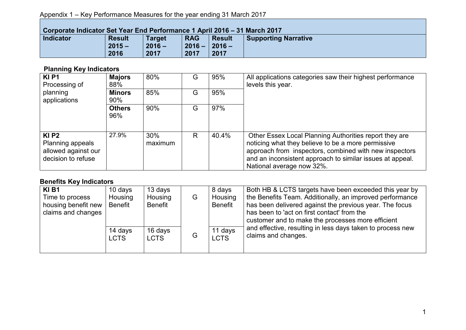## Appendix 1 – Key Performance Measures for the year ending 31 March 2017

| Corporate Indicator Set Year End Performance 1 April 2016 – 31 March 2017 |               |               |                 |               |                             |  |
|---------------------------------------------------------------------------|---------------|---------------|-----------------|---------------|-----------------------------|--|
| <b>Indicator</b>                                                          | <b>Result</b> | <b>Target</b> | <b>RAG</b>      | <b>Result</b> | <b>Supporting Narrative</b> |  |
|                                                                           | $2015 -$      | $2016 -$      | $2016 - 2016 -$ |               |                             |  |
|                                                                           | 2016          | 2017          | 2017            | 2017          |                             |  |

## **Planning Key Indicators**

| <b>KIP1</b><br>Processing of                                                         | <b>Majors</b><br>88% | 80%            | G | 95%   | All applications categories saw their highest performance<br>levels this year.                                                                                                                                                                                   |
|--------------------------------------------------------------------------------------|----------------------|----------------|---|-------|------------------------------------------------------------------------------------------------------------------------------------------------------------------------------------------------------------------------------------------------------------------|
| planning<br>applications                                                             | <b>Minors</b><br>90% | 85%            | G | 95%   |                                                                                                                                                                                                                                                                  |
|                                                                                      | <b>Others</b><br>96% | 90%            | G | 97%   |                                                                                                                                                                                                                                                                  |
| $KI$ P <sub>2</sub><br>Planning appeals<br>allowed against our<br>decision to refuse | 27.9%                | 30%<br>maximum | R | 40.4% | Other Essex Local Planning Authorities report they are<br>noticing what they believe to be a more permissive<br>approach from inspectors, combined with new inspectors<br>and an inconsistent approach to similar issues at appeal.<br>National average now 32%. |

## **Benefits Key Indicators**

| <b>KIB1</b>         | 10 days     | 13 days        |   | 8 days         | Both HB & LCTS targets have been exceeded this year by     |
|---------------------|-------------|----------------|---|----------------|------------------------------------------------------------|
| Time to process     | Housing     | Housing        | G | Housing        | the Benefits Team. Additionally, an improved performance   |
| housing benefit new | Benefit     | <b>Benefit</b> |   | <b>Benefit</b> | has been delivered against the previous year. The focus    |
| claims and changes  |             |                |   |                | has been to 'act on first contact' from the                |
|                     |             |                |   |                | customer and to make the processes more efficient          |
|                     | 14 days     | 16 days        |   | 11 days        | and effective, resulting in less days taken to process new |
|                     | <b>LCTS</b> | <b>LCTS</b>    | G | <b>LCTS</b>    | claims and changes.                                        |
|                     |             |                |   |                |                                                            |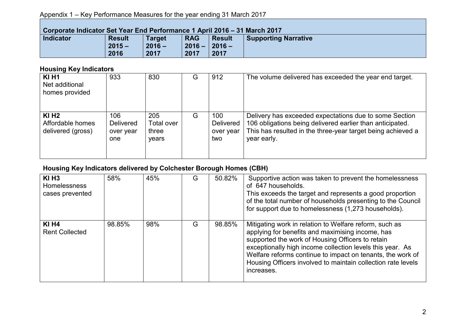## Appendix 1 – Key Performance Measures for the year ending 31 March 2017

| Corporate Indicator Set Year End Performance 1 April 2016 – 31 March 2017 |               |               |                 |               |                             |  |  |
|---------------------------------------------------------------------------|---------------|---------------|-----------------|---------------|-----------------------------|--|--|
| <b>Indicator</b>                                                          | <b>Result</b> | <b>Target</b> | <b>RAG</b>      | <b>Result</b> | <b>Supporting Narrative</b> |  |  |
|                                                                           | $2015 -$      | $2016 -$      | $2016 - 2016 -$ |               |                             |  |  |
|                                                                           | 2016          | 2017          | 2017            | 2017          |                             |  |  |

# **Housing Key Indicators**

| <b>KI H1</b><br>Net additional<br>homes provided             | 933                                         | 830                                 | G | 912                                  | The volume delivered has exceeded the year end target.                                                                                                                                            |
|--------------------------------------------------------------|---------------------------------------------|-------------------------------------|---|--------------------------------------|---------------------------------------------------------------------------------------------------------------------------------------------------------------------------------------------------|
| $KI$ H <sub>2</sub><br>Affordable homes<br>delivered (gross) | 106<br><b>Delivered</b><br>over year<br>one | 205<br>Total over<br>three<br>years | G | 100<br>Delivered<br>over year<br>two | Delivery has exceeded expectations due to some Section<br>106 obligations being delivered earlier than anticipated.<br>This has resulted in the three-year target being achieved a<br>year early. |

# **Housing Key Indicators delivered by Colchester Borough Homes (CBH)**

| $KI$ H <sub>3</sub><br><b>Homelessness</b><br>cases prevented | 58%    | 45% | G | 50.82% | Supportive action was taken to prevent the homelessness<br>of 647 households.<br>This exceeds the target and represents a good proportion<br>of the total number of households presenting to the Council<br>for support due to homelessness (1,273 households).                                                                                                         |
|---------------------------------------------------------------|--------|-----|---|--------|-------------------------------------------------------------------------------------------------------------------------------------------------------------------------------------------------------------------------------------------------------------------------------------------------------------------------------------------------------------------------|
| <b>KI H4</b><br><b>Rent Collected</b>                         | 98.85% | 98% | G | 98.85% | Mitigating work in relation to Welfare reform, such as<br>applying for benefits and maximising income, has<br>supported the work of Housing Officers to retain<br>exceptionally high income collection levels this year. As<br>Welfare reforms continue to impact on tenants, the work of<br>Housing Officers involved to maintain collection rate levels<br>increases. |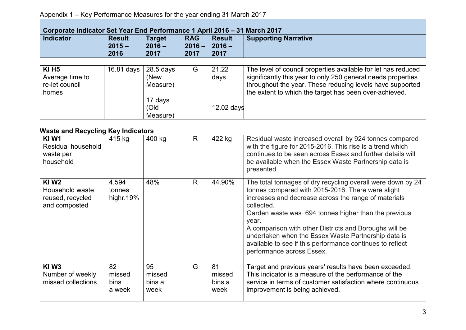### Appendix 1 – Key Performance Measures for the year ending 31 March 2017

| Corporate Indicator Set Year End Performance 1 April 2016 – 31 March 2017 |                                   |                                   |                                |                                   |                                                               |  |  |
|---------------------------------------------------------------------------|-----------------------------------|-----------------------------------|--------------------------------|-----------------------------------|---------------------------------------------------------------|--|--|
| <b>Indicator</b>                                                          | <b>Result</b><br>$2015 -$<br>2016 | <b>Target</b><br>$2016 -$<br>2017 | <b>RAG</b><br>$2016 -$<br>2017 | <b>Result</b><br>$2016 -$<br>2017 | <b>Supporting Narrative</b>                                   |  |  |
|                                                                           |                                   |                                   |                                |                                   |                                                               |  |  |
| <b>KI H5</b>                                                              | 16.81 days   28.5 days            |                                   | G                              | 21.22                             | The level of council properties available for let has reduced |  |  |
| Average time to                                                           |                                   | (New                              |                                | days                              | significantly this year to only 250 general needs properties  |  |  |

throughout the year. These reducing levels have supported the extent to which the target has been over-achieved.

12.02 days

Measure)

Measure)

17 days (Old

re-let council

homes

| <u>Naoto and Nooyomiy Noy maloatoro</u>                             |                                |                                |    |                                |                                                                                                                                                                                                                                                                                                                                                                                                                                                                    |
|---------------------------------------------------------------------|--------------------------------|--------------------------------|----|--------------------------------|--------------------------------------------------------------------------------------------------------------------------------------------------------------------------------------------------------------------------------------------------------------------------------------------------------------------------------------------------------------------------------------------------------------------------------------------------------------------|
| KI W1<br>Residual household<br>waste per<br>household               | 415 kg                         | 400 kg                         | R  | 422 kg                         | Residual waste increased overall by 924 tonnes compared<br>with the figure for 2015-2016. This rise is a trend which<br>continues to be seen across Essex and further details will<br>be available when the Essex Waste Partnership data is<br>presented.                                                                                                                                                                                                          |
| <b>KIW2</b><br>Household waste<br>reused, recycled<br>and composted | 4,594<br>tonnes<br>highr.19%   | 48%                            | R. | 44.90%                         | The total tonnages of dry recycling overall were down by 24<br>tonnes compared with 2015-2016. There were slight<br>increases and decrease across the range of materials<br>collected.<br>Garden waste was 694 tonnes higher than the previous<br>year.<br>A comparison with other Districts and Boroughs will be<br>undertaken when the Essex Waste Partnership data is<br>available to see if this performance continues to reflect<br>performance across Essex. |
| KIW <sub>3</sub><br>Number of weekly<br>missed collections          | 82<br>missed<br>bins<br>a week | 95<br>missed<br>bins a<br>week | G  | 81<br>missed<br>bins a<br>week | Target and previous years' results have been exceeded.<br>This indicator is a measure of the performance of the<br>service in terms of customer satisfaction where continuous<br>improvement is being achieved.                                                                                                                                                                                                                                                    |